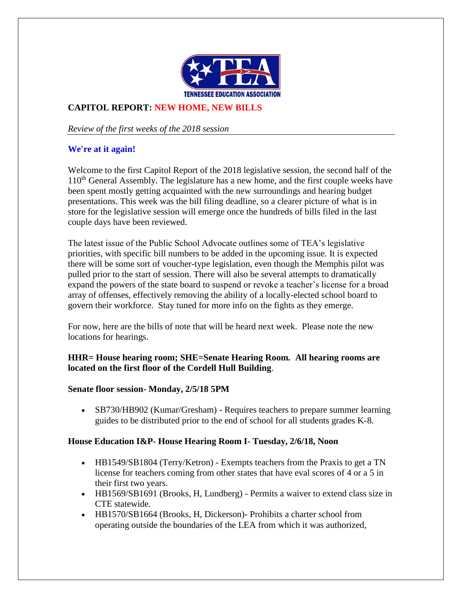

## **CAPITOL REPORT: NEW HOME, NEW BILLS**

*Review of the first weeks of the 2018 session*

#### **We're at it again!**

Welcome to the first Capitol Report of the 2018 legislative session, the second half of the 110<sup>th</sup> General Assembly. The legislature has a new home, and the first couple weeks have been spent mostly getting acquainted with the new surroundings and hearing budget presentations. This week was the bill filing deadline, so a clearer picture of what is in store for the legislative session will emerge once the hundreds of bills filed in the last couple days have been reviewed.

The latest issue of the Public School Advocate outlines some of TEA's legislative priorities, with specific bill numbers to be added in the upcoming issue. It is expected there will be some sort of voucher-type legislation, even though the Memphis pilot was pulled prior to the start of session. There will also be several attempts to dramatically expand the powers of the state board to suspend or revoke a teacher's license for a broad array of offenses, effectively removing the ability of a locally-elected school board to govern their workforce. Stay tuned for more info on the fights as they emerge.

For now, here are the bills of note that will be heard next week. Please note the new locations for hearings.

#### **HHR= House hearing room; SHE=Senate Hearing Room. All hearing rooms are located on the first floor of the Cordell Hull Building**.

#### **Senate floor session- Monday, 2/5/18 5PM**

• SB730/HB902 (Kumar/Gresham) - Requires teachers to prepare summer learning guides to be distributed prior to the end of school for all students grades K-8.

#### **House Education I&P- House Hearing Room I- Tuesday, 2/6/18, Noon**

- HB1549/SB1804 (Terry/Ketron) Exempts teachers from the Praxis to get a TN license for teachers coming from other states that have eval scores of 4 or a 5 in their first two years.
- HB1569/SB1691 (Brooks, H, Lundberg) Permits a waiver to extend class size in CTE statewide.
- HB1570/SB1664 (Brooks, H, Dickerson)- Prohibits a charter school from operating outside the boundaries of the LEA from which it was authorized,